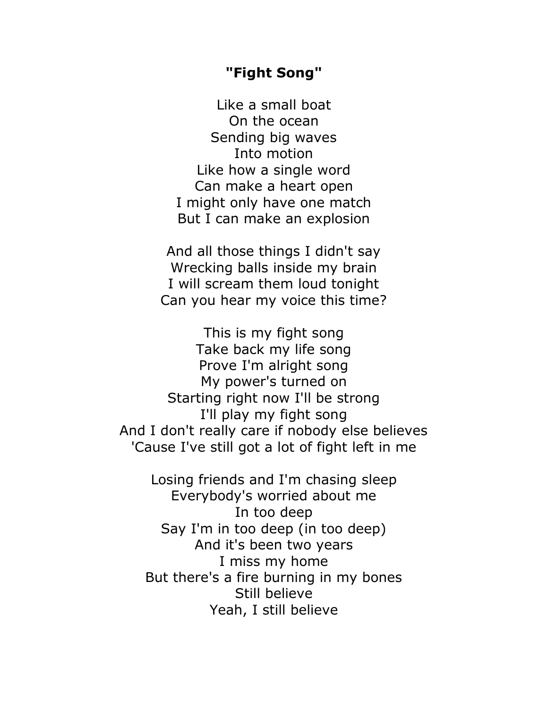## **"Fight Song"**

Like a small boat On the ocean Sending big waves Into motion Like how a single word Can make a heart open I might only have one match But I can make an explosion

And all those things I didn't say Wrecking balls inside my brain I will scream them loud tonight Can you hear my voice this time?

This is my fight song Take back my life song Prove I'm alright song My power's turned on Starting right now I'll be strong I'll play my fight song And I don't really care if nobody else believes 'Cause I've still got a lot of fight left in me

Losing friends and I'm chasing sleep Everybody's worried about me In too deep Say I'm in too deep (in too deep) And it's been two years I miss my home But there's a fire burning in my bones Still believe Yeah, I still believe